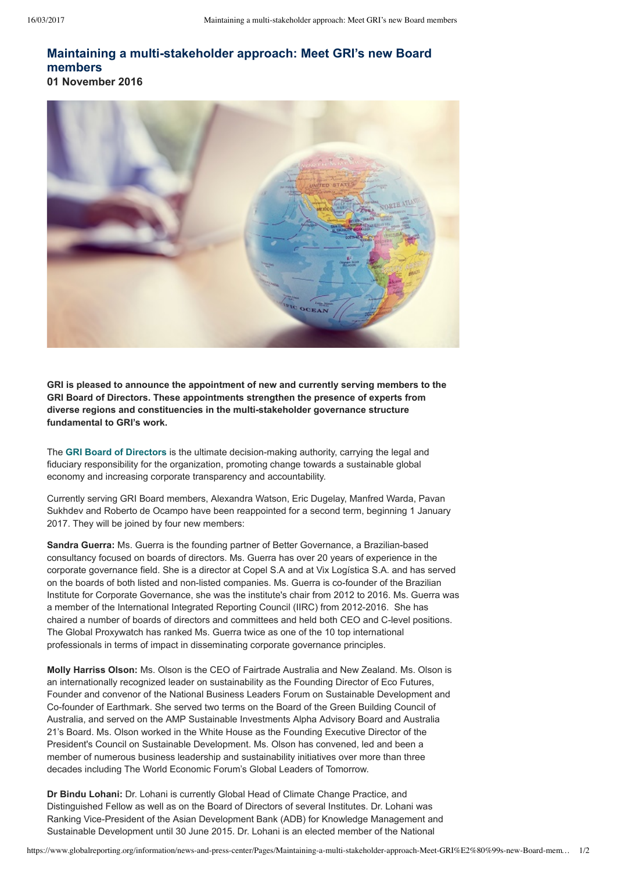## **Maintaining a multistakeholder approach: Meet GRI's new Board members 01 November 2016**

**GRI is pleased to announce the appointment of new and currently serving members to the GRI Board of Directors. These appointments strengthen the presence of experts from diverse regions and constituencies in the multistakeholder governance structure fundamental to GRI's work.**

The [GRI Board of Directors](https://www.globalreporting.org/information/about-gri/governance-bodies/board-of-directors/Pages/default.aspx) is the ultimate decision-making authority, carrying the legal and fiduciary responsibility for the organization, promoting change towards a sustainable global economy and increasing corporate transparency and accountability.

Currently serving GRI Board members, Alexandra Watson, Eric Dugelay, Manfred Warda, Pavan Sukhdev and Roberto de Ocampo have been reappointed for a second term, beginning 1 January 2017. They will be joined by four new members:

**Sandra Guerra:** Ms. Guerra is the founding partner of Better Governance, a Brazilian-based consultancy focused on boards of directors. Ms. Guerra has over 20 years of experience in the corporate governance field. She is a director at Copel S.A and at Vix Logística S.A. and has served on the boards of both listed and non-listed companies. Ms. Guerra is co-founder of the Brazilian Institute for Corporate Governance, she was the institute's chair from 2012 to 2016. Ms. Guerra was a member of the International Integrated Reporting Council (IIRC) from 2012-2016. She has chaired a number of boards of directors and committees and held both CEO and C-level positions. The Global Proxywatch has ranked Ms. Guerra twice as one of the 10 top international professionals in terms of impact in disseminating corporate governance principles.

**Molly Harriss Olson:** Ms. Olson is the CEO of Fairtrade Australia and New Zealand. Ms. Olson is an internationally recognized leader on sustainability as the Founding Director of Eco Futures, Founder and convenor of the National Business Leaders Forum on Sustainable Development and Cofounder of Earthmark. She served two terms on the Board of the Green Building Council of Australia, and served on the AMP Sustainable Investments Alpha Advisory Board and Australia 21's Board. Ms. Olson worked in the White House as the Founding Executive Director of the President's Council on Sustainable Development. Ms. Olson has convened, led and been a member of numerous business leadership and sustainability initiatives over more than three decades including The World Economic Forum's Global Leaders of Tomorrow.

**Dr Bindu Lohani:** Dr. Lohani is currently Global Head of Climate Change Practice, and Distinguished Fellow as well as on the Board of Directors of several Institutes. Dr. Lohani was Ranking Vice-President of the Asian Development Bank (ADB) for Knowledge Management and Sustainable Development until 30 June 2015. Dr. Lohani is an elected member of the National